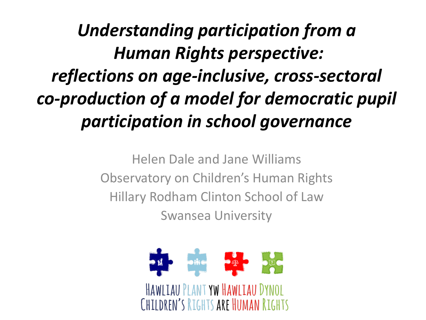*Understanding participation from a Human Rights perspective: reflections on age-inclusive, cross-sectoral co-production of a model for democratic pupil participation in school governance*

> Helen Dale and Jane Williams Observatory on Children's Human Rights Hillary Rodham Clinton School of Law Swansea University

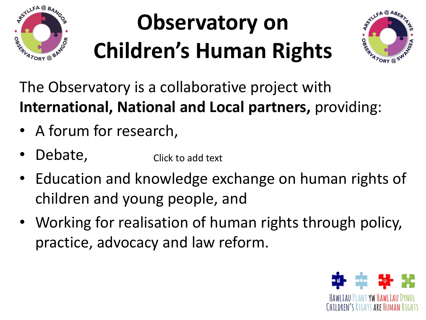

# **Observatory on Children's Human Rights**



The Observatory is a collaborative project with **International, National and Local partners,** providing:

- A forum for research,
- Debate, Click to add text
- Education and knowledge exchange on human rights of children and young people, and
- Working for realisation of human rights through policy, practice, advocacy and law reform.

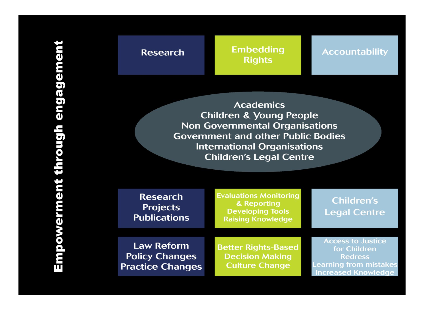### **Research**

#### **Embedding Rights**

#### **Accountability**

**Academics Children & Young People Non Governmental Organisations Government and other Public Bodies International Organisations Children's Legal Centre** 

| <b>Research</b><br><b>Projects</b><br><b>Publications</b>             | <b>Evaluations Monitoring</b><br>& Reporting<br><b>Developing Tools</b><br><b>Raising Knowledge</b> | <b>Children's</b><br><b>Legal Centre</b>                                                                                  |
|-----------------------------------------------------------------------|-----------------------------------------------------------------------------------------------------|---------------------------------------------------------------------------------------------------------------------------|
| <b>Law Reform</b><br><b>Policy Changes</b><br><b>Practice Changes</b> | <b>Better Rights-Based</b><br><b>Decision Making</b><br><b>Culture Change</b>                       | <b>Access to Justice</b><br>for Children<br><b>Redress</b><br><b>Learning from mistakes</b><br><b>Increased Knowledge</b> |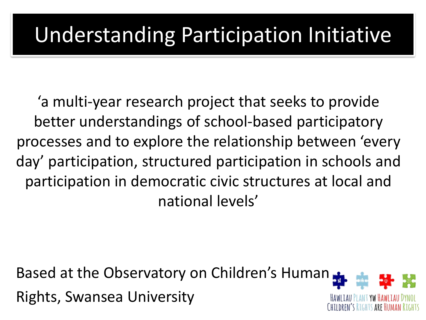## Understanding Participation Initiative

'a multi-year research project that seeks to provide better understandings of school-based participatory processes and to explore the relationship between 'every day' participation, structured participation in schools and participation in democratic civic structures at local and national levels'

Based at the Observatory on Children's Human Rights, Swansea University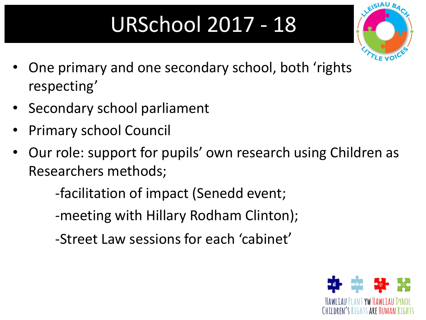# URSchool 2017 - 18



- One primary and one secondary school, both 'rights respecting'
- Secondary school parliament
- Primary school Council
- Our role: support for pupils' own research using Children as Researchers methods;

-facilitation of impact (Senedd event;

-meeting with Hillary Rodham Clinton);

-Street Law sessions for each 'cabinet'

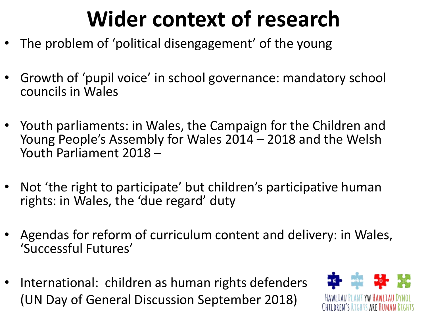# **Wider context of research**

- The problem of 'political disengagement' of the young
- Growth of 'pupil voice' in school governance: mandatory school councils in Wales
- Youth parliaments: in Wales, the Campaign for the Children and Young People's Assembly for Wales 2014 – 2018 and the Welsh Youth Parliament 2018 –
- Not 'the right to participate' but children's participative human rights: in Wales, the 'due regard' duty
- Agendas for reform of curriculum content and delivery: in Wales, 'Successful Futures'
- International: children as human rights defenders (UN Day of General Discussion September 2018)

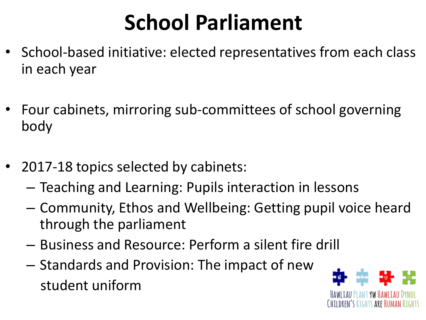# **School Parliament**

- School-based initiative: elected representatives from each class in each year
- Four cabinets, mirroring sub-committees of school governing body
- 2017-18 topics selected by cabinets:
	- Teaching and Learning: Pupils interaction in lessons
	- Community, Ethos and Wellbeing: Getting pupil voice heard through the parliament
	- Business and Resource: Perform a silent fire drill
	- Standards and Provision: The impact of new student uniform

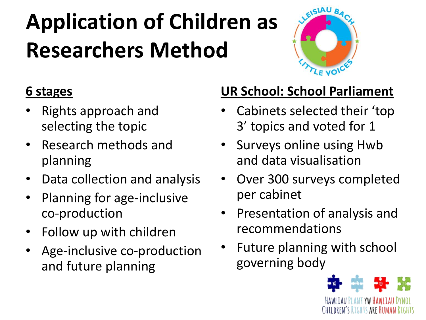# **Application of Children as Researchers Method**



### **6 stages**

- Rights approach and selecting the topic
- Research methods and planning
- Data collection and analysis
- Planning for age-inclusive co-production
- Follow up with children
- Age-inclusive co-production and future planning

## **UR School: School Parliament**

- Cabinets selected their 'top 3' topics and voted for 1
- Surveys online using Hwb and data visualisation
- Over 300 surveys completed per cabinet
- Presentation of analysis and recommendations
- Future planning with school governing body

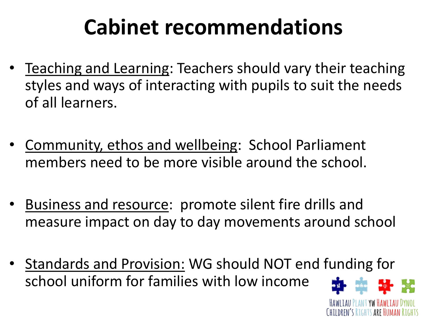# **Cabinet recommendations**

- Teaching and Learning: Teachers should vary their teaching styles and ways of interacting with pupils to suit the needs of all learners.
- Community, ethos and wellbeing: School Parliament members need to be more visible around the school.
- Business and resource: promote silent fire drills and measure impact on day to day movements around school
- Standards and Provision: WG should NOT end funding for school uniform for families with low income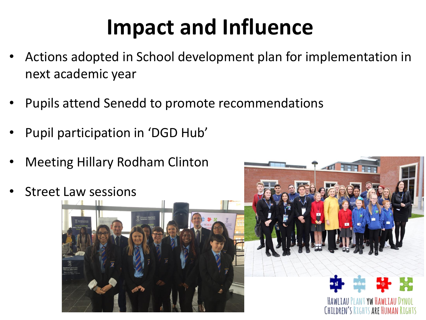# **Impact and Influence**

- Actions adopted in School development plan for implementation in next academic year
- Pupils attend Senedd to promote recommendations
- Pupil participation in 'DGD Hub'
- Meeting Hillary Rodham Clinton
- Street Law sessions



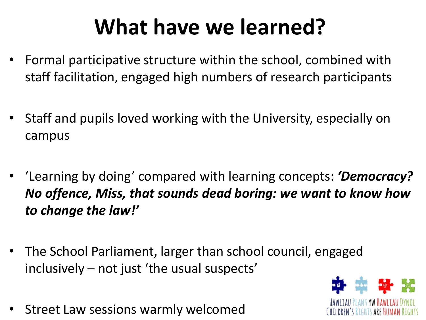# **What have we learned?**

- Formal participative structure within the school, combined with staff facilitation, engaged high numbers of research participants
- Staff and pupils loved working with the University, especially on campus
- 'Learning by doing' compared with learning concepts: *'Democracy? No offence, Miss, that sounds dead boring: we want to know how to change the law!'*
- The School Parliament, larger than school council, engaged inclusively – not just 'the usual suspects'
- Street Law sessions warmly welcomed